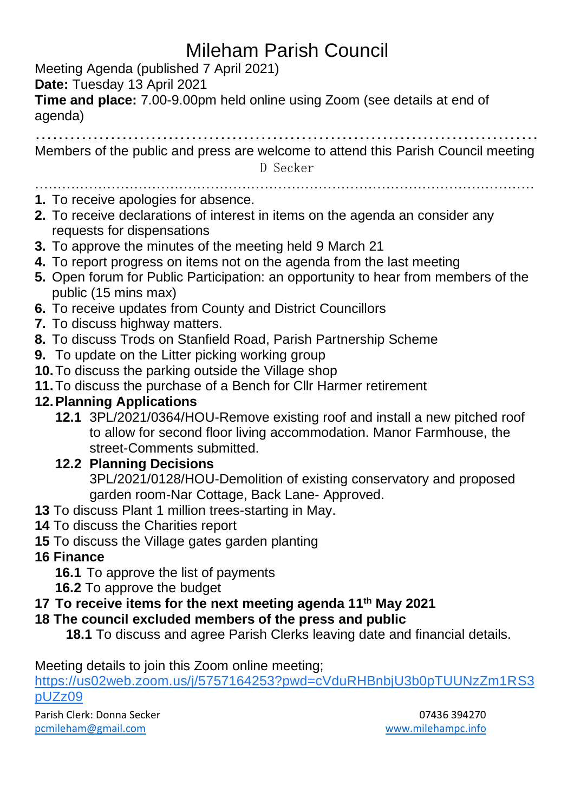# Mileham Parish Council

Meeting Agenda (published 7 April 2021)

**Date:** Tuesday 13 April 2021

**Time and place:** 7.00-9.00pm held online using Zoom (see details at end of agenda)

……………………………………………………………………………

Members of the public and press are welcome to attend this Parish Council meeting

D Secker

## …………………………………………………………………………………………………

- **1.** To receive apologies for absence.
- **2.** To receive declarations of interest in items on the agenda an consider any requests for dispensations
- **3.** To approve the minutes of the meeting held 9 March 21
- **4.** To report progress on items not on the agenda from the last meeting
- **5.** Open forum for Public Participation: an opportunity to hear from members of the public (15 mins max)
- **6.** To receive updates from County and District Councillors
- **7.** To discuss highway matters.
- **8.** To discuss Trods on Stanfield Road, Parish Partnership Scheme
- **9.** To update on the Litter picking working group
- **10.**To discuss the parking outside the Village shop
- **11.**To discuss the purchase of a Bench for Cllr Harmer retirement

### **12.Planning Applications**

**12.1** 3PL/2021/0364/HOU-Remove existing roof and install a new pitched roof to allow for second floor living accommodation. Manor Farmhouse, the street-Comments submitted.

### **12.2 Planning Decisions**

3PL/2021/0128/HOU-Demolition of existing conservatory and proposed garden room-Nar Cottage, Back Lane- Approved.

- **13** To discuss Plant 1 million trees-starting in May.
- **14** To discuss the Charities report
- **15** To discuss the Village gates garden planting

### **16 Finance**

- **16.1** To approve the list of payments
- **16.2** To approve the budget

### **17 To receive items for the next meeting agenda 11th May 2021**

### **18 The council excluded members of the press and public**

**18.1** To discuss and agree Parish Clerks leaving date and financial details.

Meeting details to join this Zoom online meeting;

[https://us02web.zoom.us/j/5757164253?pwd=cVduRHBnbjU3b0pTUUNzZm1RS3](https://www.google.com/url?q=https://us02web.zoom.us/j/5757164253?pwd%3DcVduRHBnbjU3b0pTUUNzZm1RS3pUZz09&sa=D&source=calendar&usd=2&usg=AOvVaw2gZfrGOR61tFRXJ__EHzSN) [pUZz09](https://www.google.com/url?q=https://us02web.zoom.us/j/5757164253?pwd%3DcVduRHBnbjU3b0pTUUNzZm1RS3pUZz09&sa=D&source=calendar&usd=2&usg=AOvVaw2gZfrGOR61tFRXJ__EHzSN)

Parish Clerk: Donna Secker 07436 394270 [pcmileham@gmail.com](mailto:pcmileham@gmail.com) [www.milehampc.info](http://www.milehampc.info/)